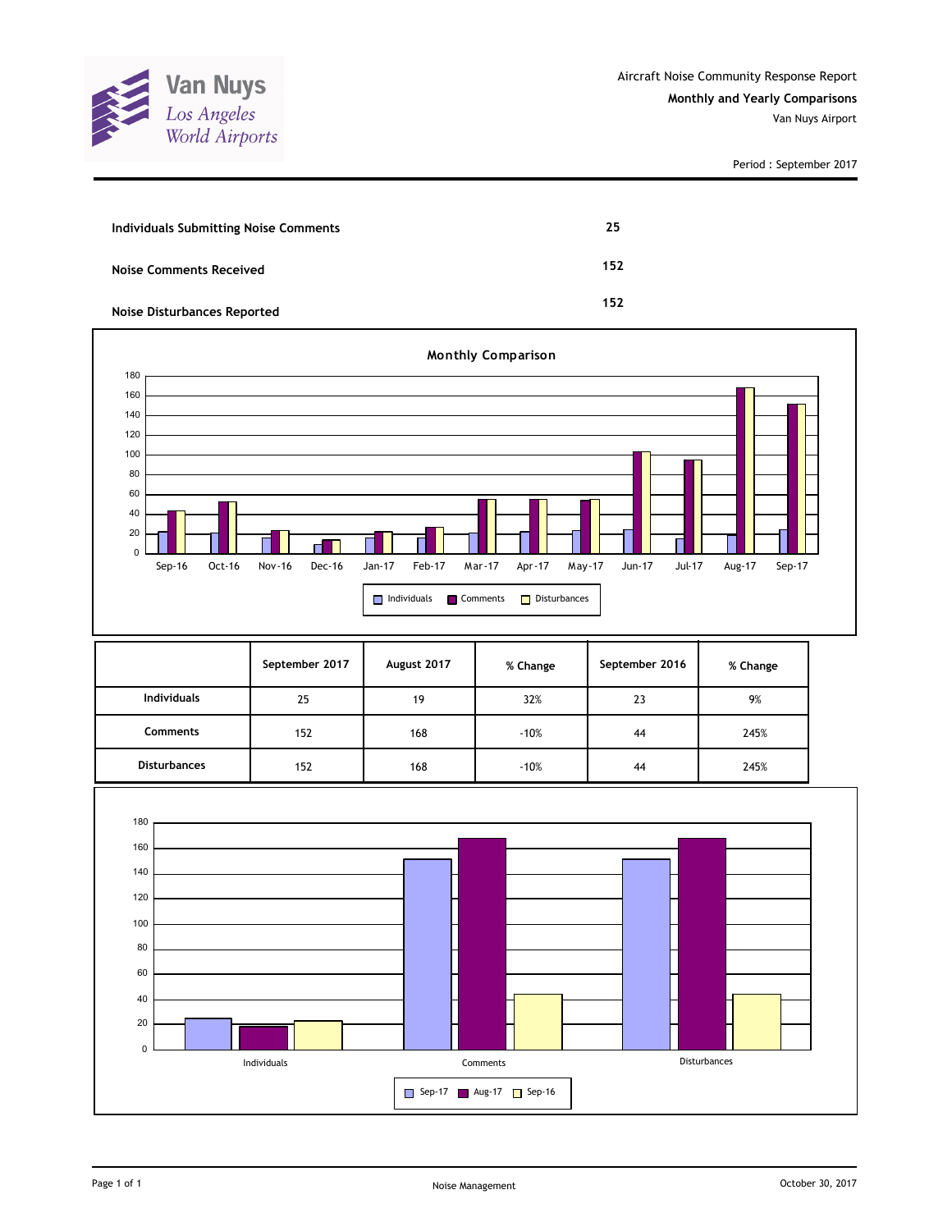

Period : September 2017

| <b>Individuals Submitting Noise Comments</b> | 25  |
|----------------------------------------------|-----|
| <b>Noise Comments Received</b>               | 152 |
| Noise Disturbances Reported                  | 152 |



|                     | September 2017 | August 2017 | % Change | September 2016 | % Change |
|---------------------|----------------|-------------|----------|----------------|----------|
| <b>Individuals</b>  | 25             | 19          | 32%      | 23             | 9%       |
| Comments            | 152            | 168         | $-10%$   | 44             | 245%     |
| <b>Disturbances</b> | 152            | 168         | $-10%$   | 44             | 245%     |

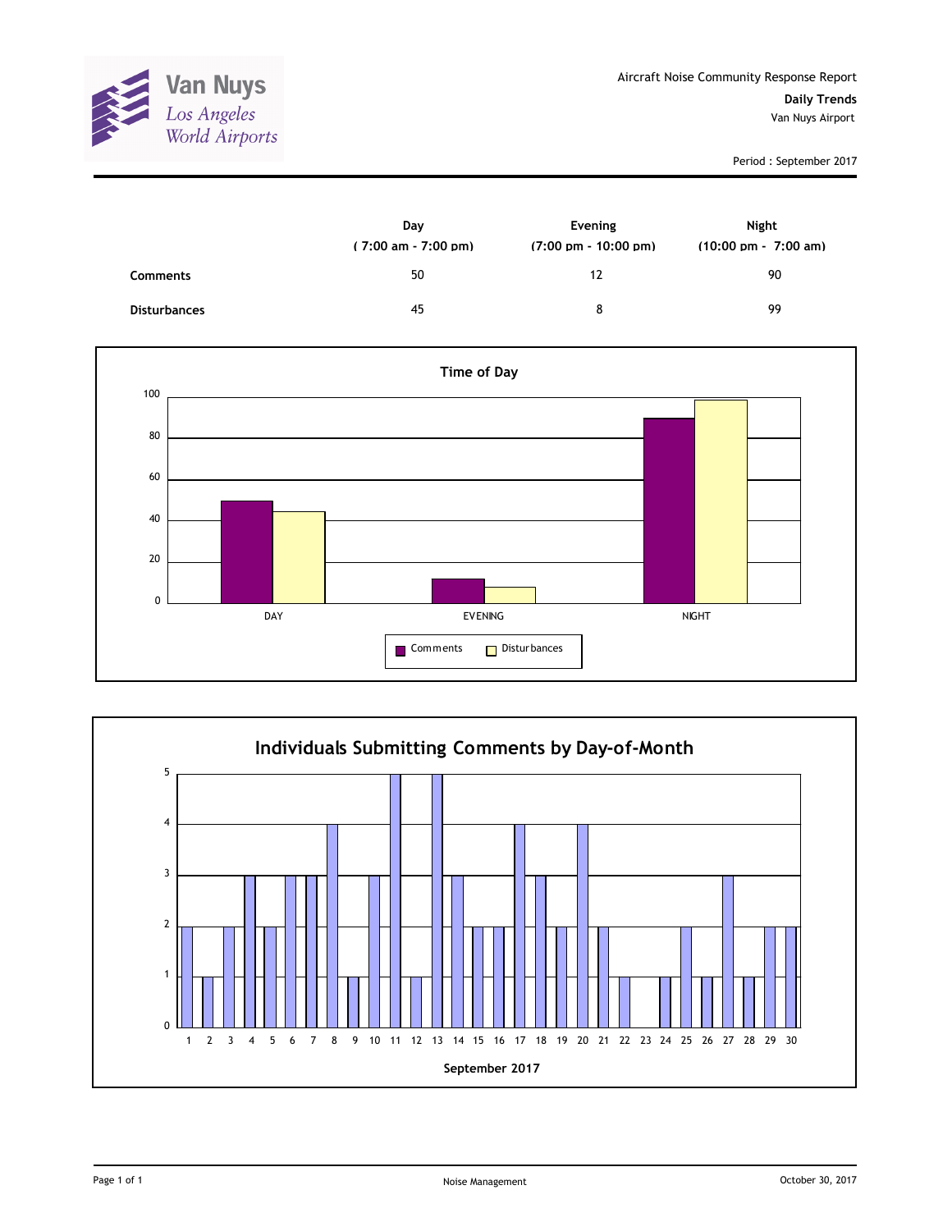

Period : September 2017

|                     | Day<br>$(7:00 \text{ am} - 7:00 \text{ pm})$ | Evening<br>$(7:00 \text{ pm} - 10:00 \text{ pm})$ | Night<br>$(10:00 \text{ pm} - 7:00 \text{ am})$ |
|---------------------|----------------------------------------------|---------------------------------------------------|-------------------------------------------------|
| <b>Comments</b>     | 50                                           | 12                                                | 90                                              |
| <b>Disturbances</b> | 45                                           | 8                                                 | 99                                              |



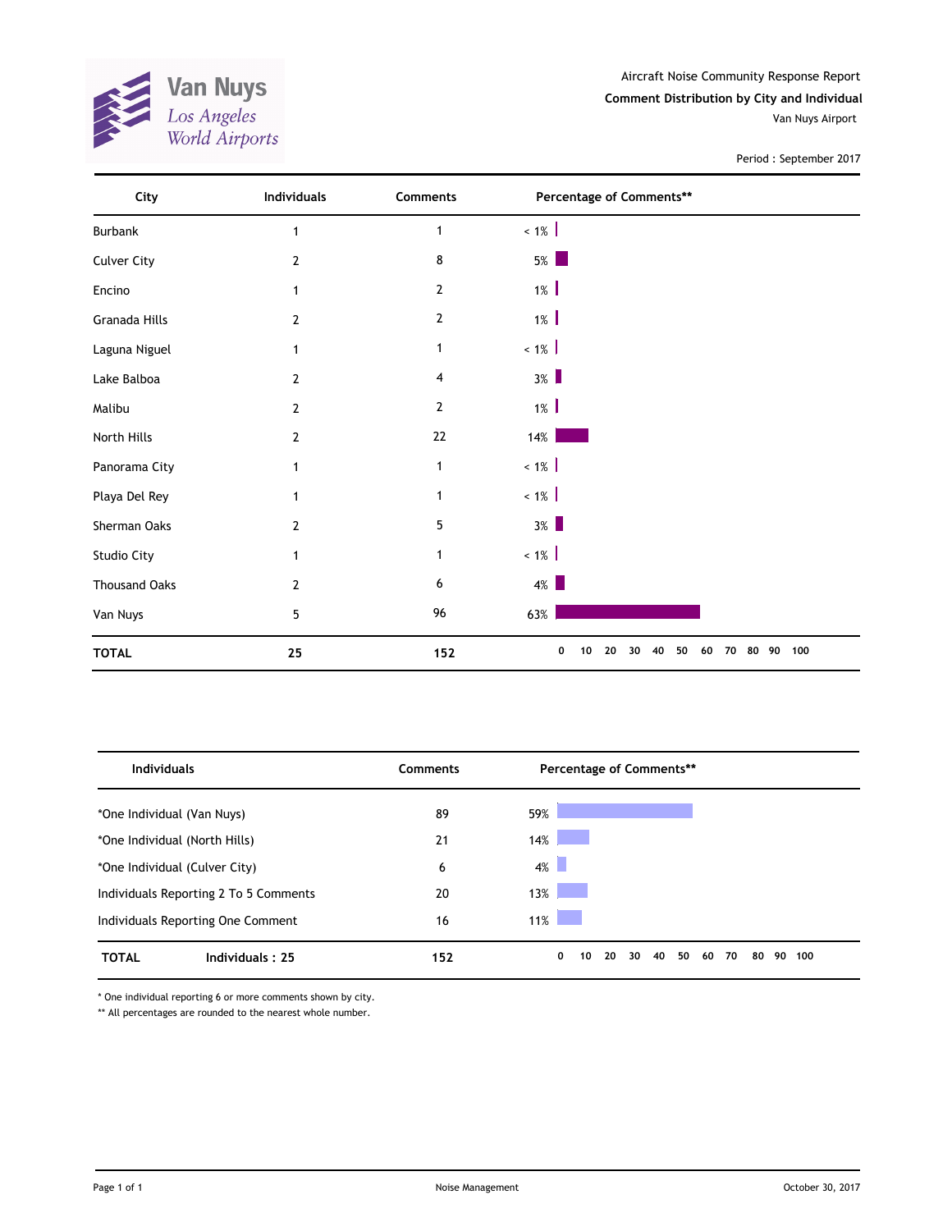

Aircraft Noise Community Response Report **Comment Distribution by City and Individual** Van Nuys Airport

Period : September 2017

| City                 | Individuals    | Comments       | Percentage of Comments**                    |           |
|----------------------|----------------|----------------|---------------------------------------------|-----------|
| Burbank              | 1              | $\mathbf{1}$   | $< 1\%$                                     |           |
| <b>Culver City</b>   | 2              | 8              | $5\%$                                       |           |
| Encino               |                | $\overline{2}$ | $1\%$                                       |           |
| Granada Hills        | 2              | $\overline{2}$ | $1\%$                                       |           |
| Laguna Niguel        | 1              | $\mathbf 1$    | $< 1\%$                                     |           |
| Lake Balboa          | 2              | 4              | $3\%$                                       |           |
| Malibu               | 2              | $\overline{2}$ | $1\%$                                       |           |
| North Hills          | 2              | $22\,$         | $14\%$                                      |           |
| Panorama City        | 1              | $\mathbf{1}$   | $~1\%$                                      |           |
| Playa Del Rey        | 1              | 1              | $< 1\%$                                     |           |
| Sherman Oaks         | 2              | 5              | $3\%$                                       |           |
| Studio City          | 1              | $\mathbf 1$    | $< 1\%$                                     |           |
| <b>Thousand Oaks</b> | $\overline{2}$ | 6              | $4\%$                                       |           |
| Van Nuys             | 5              | 96             | 63%                                         |           |
| <b>TOTAL</b>         | 25             | 152            | 50<br>0<br>10<br>20<br>40<br>60<br>70<br>30 | 80 90 100 |

| <b>Individuals</b>                    |                 | <b>Comments</b> | Percentage of Comments**                                       |
|---------------------------------------|-----------------|-----------------|----------------------------------------------------------------|
| *One Individual (Van Nuys)            |                 | 89              | 59%                                                            |
| *One Individual (North Hills)         |                 | 21              | 14%                                                            |
| *One Individual (Culver City)         |                 | 6               | $4\%$                                                          |
| Individuals Reporting 2 To 5 Comments |                 | 20              | 13%                                                            |
| Individuals Reporting One Comment     |                 | 16              | 11%                                                            |
| <b>TOTAL</b>                          | Individuals: 25 | 152             | 0<br>20<br>40<br>50<br>70<br>90<br>10<br>30<br>60<br>80<br>100 |

\* One individual reporting 6 or more comments shown by city.

\*\* All percentages are rounded to the nearest whole number.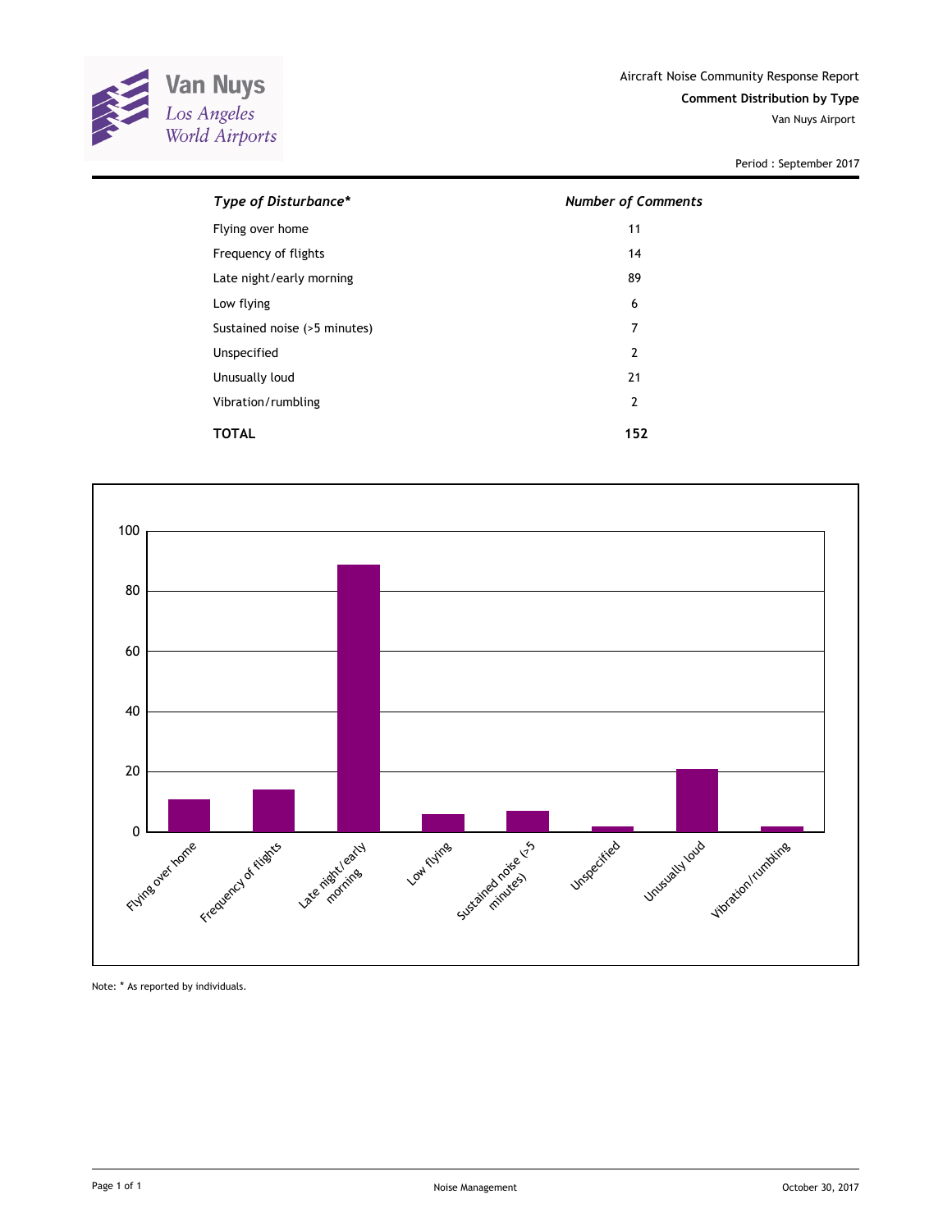

Period : September 2017

| Type of Disturbance*         | <b>Number of Comments</b> |
|------------------------------|---------------------------|
| Flying over home             | 11                        |
| Frequency of flights         | 14                        |
| Late night/early morning     | 89                        |
| Low flying                   | 6                         |
| Sustained noise (>5 minutes) | 7                         |
| Unspecified                  | 2                         |
| Unusually loud               | 21                        |
| Vibration/rumbling           | $\overline{2}$            |
| TOTAL                        | 152                       |



Note: \* As reported by individuals.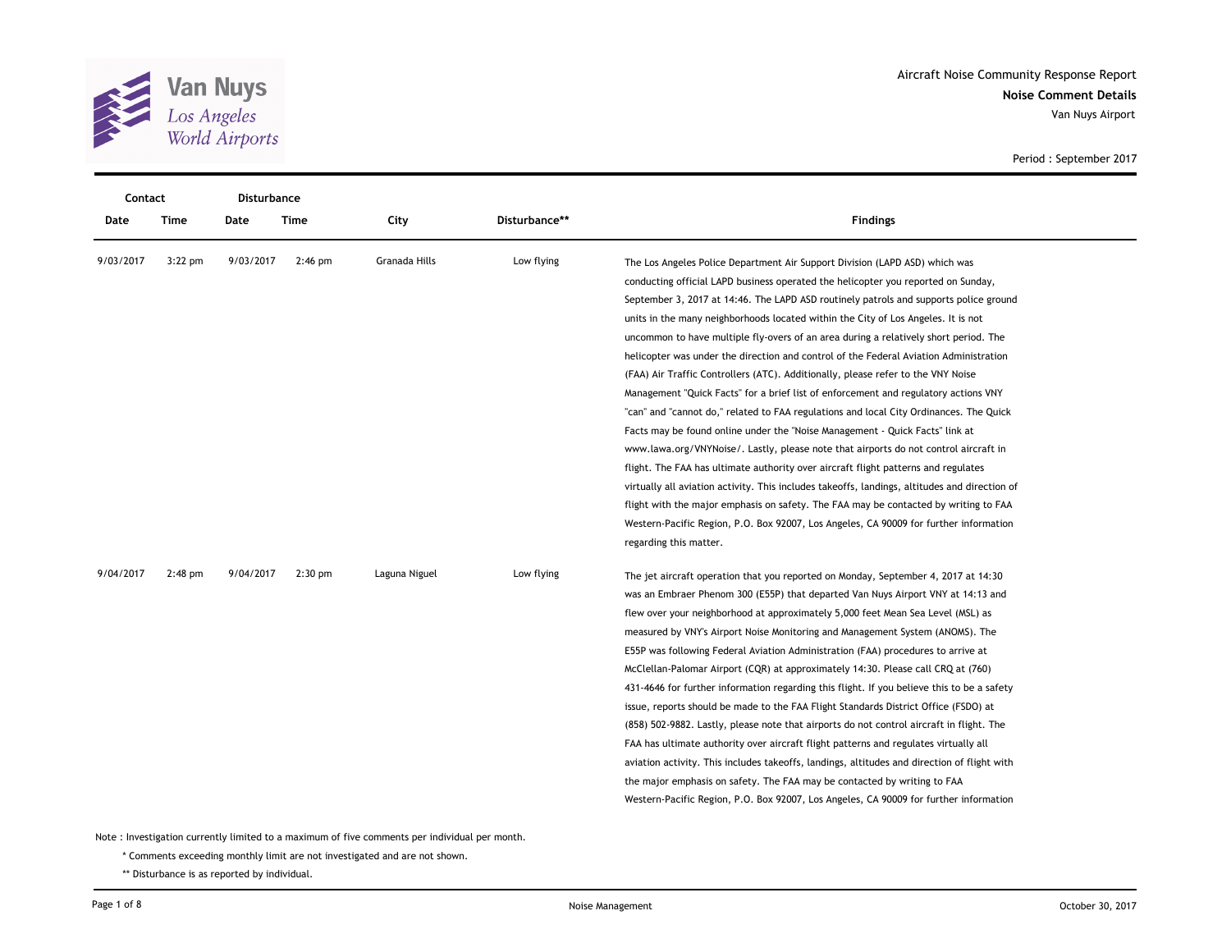

**Noise Comment Details** Aircraft Noise Community Response Report Van Nuys Airport

Period : September 2017

| Contact   |           |           | <b>Disturbance</b> |               |               |                                                                                               |
|-----------|-----------|-----------|--------------------|---------------|---------------|-----------------------------------------------------------------------------------------------|
| Date      | Time      | Date      | Time               | City          | Disturbance** | <b>Findings</b>                                                                               |
| 9/03/2017 | $3:22$ pm | 9/03/2017 | $2:46$ pm          | Granada Hills | Low flying    | The Los Angeles Police Department Air Support Division (LAPD ASD) which was                   |
|           |           |           |                    |               |               | conducting official LAPD business operated the helicopter you reported on Sunday,             |
|           |           |           |                    |               |               | September 3, 2017 at 14:46. The LAPD ASD routinely patrols and supports police ground         |
|           |           |           |                    |               |               | units in the many neighborhoods located within the City of Los Angeles. It is not             |
|           |           |           |                    |               |               | uncommon to have multiple fly-overs of an area during a relatively short period. The          |
|           |           |           |                    |               |               | helicopter was under the direction and control of the Federal Aviation Administration         |
|           |           |           |                    |               |               | (FAA) Air Traffic Controllers (ATC). Additionally, please refer to the VNY Noise              |
|           |           |           |                    |               |               | Management "Quick Facts" for a brief list of enforcement and regulatory actions VNY           |
|           |           |           |                    |               |               | "can" and "cannot do," related to FAA regulations and local City Ordinances. The Quick        |
|           |           |           |                    |               |               | Facts may be found online under the "Noise Management - Quick Facts" link at                  |
|           |           |           |                    |               |               | www.lawa.org/VNYNoise/. Lastly, please note that airports do not control aircraft in          |
|           |           |           |                    |               |               | flight. The FAA has ultimate authority over aircraft flight patterns and regulates            |
|           |           |           |                    |               |               | virtually all aviation activity. This includes takeoffs, landings, altitudes and direction of |
|           |           |           |                    |               |               | flight with the major emphasis on safety. The FAA may be contacted by writing to FAA          |
|           |           |           |                    |               |               | Western-Pacific Region, P.O. Box 92007, Los Angeles, CA 90009 for further information         |
|           |           |           |                    |               |               | regarding this matter.                                                                        |
| 9/04/2017 | $2:48$ pm | 9/04/2017 | $2:30$ pm          | Laguna Niguel | Low flying    | The jet aircraft operation that you reported on Monday, September 4, 2017 at 14:30            |
|           |           |           |                    |               |               | was an Embraer Phenom 300 (E55P) that departed Van Nuys Airport VNY at 14:13 and              |
|           |           |           |                    |               |               | flew over your neighborhood at approximately 5,000 feet Mean Sea Level (MSL) as               |
|           |           |           |                    |               |               | measured by VNY's Airport Noise Monitoring and Management System (ANOMS). The                 |
|           |           |           |                    |               |               | E55P was following Federal Aviation Administration (FAA) procedures to arrive at              |
|           |           |           |                    |               |               | McClellan-Palomar Airport (CQR) at approximately 14:30. Please call CRQ at (760)              |
|           |           |           |                    |               |               | 431-4646 for further information regarding this flight. If you believe this to be a safety    |
|           |           |           |                    |               |               | issue, reports should be made to the FAA Flight Standards District Office (FSDO) at           |
|           |           |           |                    |               |               | (858) 502-9882. Lastly, please note that airports do not control aircraft in flight. The      |
|           |           |           |                    |               |               | FAA has ultimate authority over aircraft flight patterns and regulates virtually all          |
|           |           |           |                    |               |               | aviation activity. This includes takeoffs, landings, altitudes and direction of flight with   |
|           |           |           |                    |               |               | the major emphasis on safety. The FAA may be contacted by writing to FAA                      |
|           |           |           |                    |               |               | Western-Pacific Region, P.O. Box 92007, Los Angeles, CA 90009 for further information         |

Note : Investigation currently limited to a maximum of five comments per individual per month.

\* Comments exceeding monthly limit are not investigated and are not shown.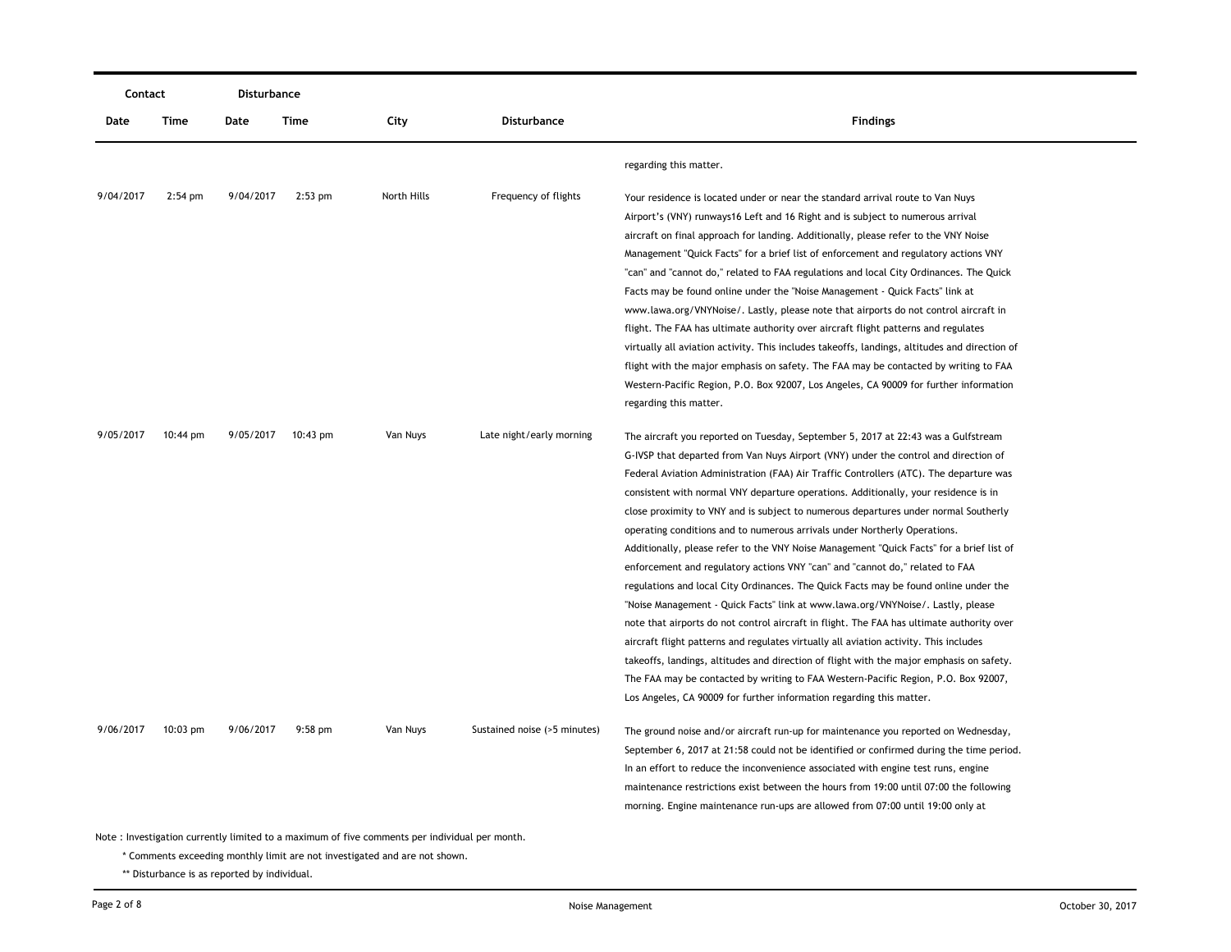| Contact<br>Disturbance |                    |           |           |                                                                                                |                              |                                                                                               |
|------------------------|--------------------|-----------|-----------|------------------------------------------------------------------------------------------------|------------------------------|-----------------------------------------------------------------------------------------------|
| Date                   | Time               | Date      | Time      | City                                                                                           | Disturbance                  | <b>Findings</b>                                                                               |
|                        |                    |           |           |                                                                                                |                              | regarding this matter.                                                                        |
| 9/04/2017              | $2:54$ pm          | 9/04/2017 | $2:53$ pm | North Hills                                                                                    | Frequency of flights         | Your residence is located under or near the standard arrival route to Van Nuys                |
|                        |                    |           |           |                                                                                                |                              | Airport's (VNY) runways16 Left and 16 Right and is subject to numerous arrival                |
|                        |                    |           |           |                                                                                                |                              | aircraft on final approach for landing. Additionally, please refer to the VNY Noise           |
|                        |                    |           |           |                                                                                                |                              | Management "Quick Facts" for a brief list of enforcement and regulatory actions VNY           |
|                        |                    |           |           |                                                                                                |                              | "can" and "cannot do," related to FAA regulations and local City Ordinances. The Quick        |
|                        |                    |           |           |                                                                                                |                              | Facts may be found online under the "Noise Management - Quick Facts" link at                  |
|                        |                    |           |           |                                                                                                |                              | www.lawa.org/VNYNoise/. Lastly, please note that airports do not control aircraft in          |
|                        |                    |           |           |                                                                                                |                              | flight. The FAA has ultimate authority over aircraft flight patterns and regulates            |
|                        |                    |           |           |                                                                                                |                              | virtually all aviation activity. This includes takeoffs, landings, altitudes and direction of |
|                        |                    |           |           |                                                                                                |                              | flight with the major emphasis on safety. The FAA may be contacted by writing to FAA          |
|                        |                    |           |           |                                                                                                |                              | Western-Pacific Region, P.O. Box 92007, Los Angeles, CA 90009 for further information         |
|                        |                    |           |           |                                                                                                |                              | regarding this matter.                                                                        |
| 9/05/2017              | $10:44 \text{ pm}$ | 9/05/2017 | 10:43 pm  | Van Nuys                                                                                       | Late night/early morning     | The aircraft you reported on Tuesday, September 5, 2017 at 22:43 was a Gulfstream             |
|                        |                    |           |           |                                                                                                |                              | G-IVSP that departed from Van Nuys Airport (VNY) under the control and direction of           |
|                        |                    |           |           |                                                                                                |                              | Federal Aviation Administration (FAA) Air Traffic Controllers (ATC). The departure was        |
|                        |                    |           |           |                                                                                                |                              | consistent with normal VNY departure operations. Additionally, your residence is in           |
|                        |                    |           |           |                                                                                                |                              | close proximity to VNY and is subject to numerous departures under normal Southerly           |
|                        |                    |           |           |                                                                                                |                              | operating conditions and to numerous arrivals under Northerly Operations.                     |
|                        |                    |           |           |                                                                                                |                              | Additionally, please refer to the VNY Noise Management "Quick Facts" for a brief list of      |
|                        |                    |           |           |                                                                                                |                              | enforcement and regulatory actions VNY "can" and "cannot do," related to FAA                  |
|                        |                    |           |           |                                                                                                |                              | regulations and local City Ordinances. The Quick Facts may be found online under the          |
|                        |                    |           |           |                                                                                                |                              | "Noise Management - Quick Facts" link at www.lawa.org/VNYNoise/. Lastly, please               |
|                        |                    |           |           |                                                                                                |                              | note that airports do not control aircraft in flight. The FAA has ultimate authority over     |
|                        |                    |           |           |                                                                                                |                              | aircraft flight patterns and regulates virtually all aviation activity. This includes         |
|                        |                    |           |           |                                                                                                |                              | takeoffs, landings, altitudes and direction of flight with the major emphasis on safety.      |
|                        |                    |           |           |                                                                                                |                              | The FAA may be contacted by writing to FAA Western-Pacific Region, P.O. Box 92007,            |
|                        |                    |           |           |                                                                                                |                              | Los Angeles, CA 90009 for further information regarding this matter.                          |
| 9/06/2017              | $10:03$ pm         | 9/06/2017 | $9:58$ pm | Van Nuys                                                                                       | Sustained noise (>5 minutes) | The ground noise and/or aircraft run-up for maintenance you reported on Wednesday,            |
|                        |                    |           |           |                                                                                                |                              | September 6, 2017 at 21:58 could not be identified or confirmed during the time period.       |
|                        |                    |           |           |                                                                                                |                              | In an effort to reduce the inconvenience associated with engine test runs, engine             |
|                        |                    |           |           |                                                                                                |                              | maintenance restrictions exist between the hours from 19:00 until 07:00 the following         |
|                        |                    |           |           |                                                                                                |                              | morning. Engine maintenance run-ups are allowed from 07:00 until 19:00 only at                |
|                        |                    |           |           | Note : Investigation currently limited to a maximum of five comments per individual per month. |                              |                                                                                               |
|                        |                    |           |           | * Comments exceeding monthly limit are not investigated and are not shown.                     |                              |                                                                                               |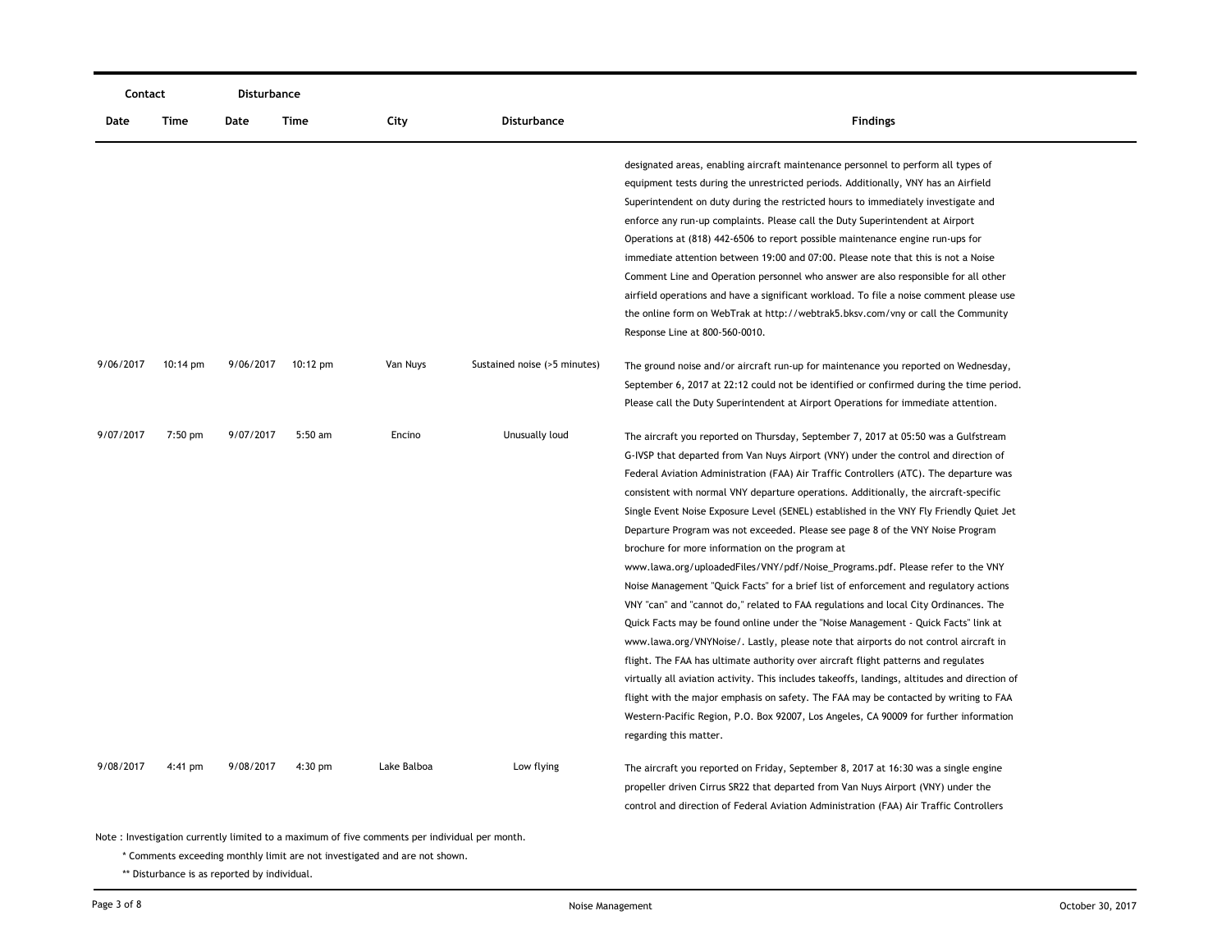| Contact   |                    | Disturbance |           |             |                              |                                                                                                                                                                                                                                                                                                                                                                                                                                                                                                                                                                                                                                                                                                                                                                                                                                                                                                                                                                                                                                                                                                                                                                                                                                                                                                                                                                                                                                                |
|-----------|--------------------|-------------|-----------|-------------|------------------------------|------------------------------------------------------------------------------------------------------------------------------------------------------------------------------------------------------------------------------------------------------------------------------------------------------------------------------------------------------------------------------------------------------------------------------------------------------------------------------------------------------------------------------------------------------------------------------------------------------------------------------------------------------------------------------------------------------------------------------------------------------------------------------------------------------------------------------------------------------------------------------------------------------------------------------------------------------------------------------------------------------------------------------------------------------------------------------------------------------------------------------------------------------------------------------------------------------------------------------------------------------------------------------------------------------------------------------------------------------------------------------------------------------------------------------------------------|
| Date      | Time               | Date        | Time      | City        | <b>Disturbance</b>           | <b>Findings</b>                                                                                                                                                                                                                                                                                                                                                                                                                                                                                                                                                                                                                                                                                                                                                                                                                                                                                                                                                                                                                                                                                                                                                                                                                                                                                                                                                                                                                                |
|           |                    |             |           |             |                              | designated areas, enabling aircraft maintenance personnel to perform all types of<br>equipment tests during the unrestricted periods. Additionally, VNY has an Airfield<br>Superintendent on duty during the restricted hours to immediately investigate and<br>enforce any run-up complaints. Please call the Duty Superintendent at Airport<br>Operations at (818) 442-6506 to report possible maintenance engine run-ups for<br>immediate attention between 19:00 and 07:00. Please note that this is not a Noise<br>Comment Line and Operation personnel who answer are also responsible for all other<br>airfield operations and have a significant workload. To file a noise comment please use<br>the online form on WebTrak at http://webtrak5.bksv.com/vny or call the Community<br>Response Line at 800-560-0010.                                                                                                                                                                                                                                                                                                                                                                                                                                                                                                                                                                                                                    |
| 9/06/2017 | $10:14 \text{ pm}$ | 9/06/2017   | 10:12 pm  | Van Nuys    | Sustained noise (>5 minutes) | The ground noise and/or aircraft run-up for maintenance you reported on Wednesday,<br>September 6, 2017 at 22:12 could not be identified or confirmed during the time period.<br>Please call the Duty Superintendent at Airport Operations for immediate attention.                                                                                                                                                                                                                                                                                                                                                                                                                                                                                                                                                                                                                                                                                                                                                                                                                                                                                                                                                                                                                                                                                                                                                                            |
| 9/07/2017 | $7:50$ pm          | 9/07/2017   | $5:50$ am | Encino      | Unusually loud               | The aircraft you reported on Thursday, September 7, 2017 at 05:50 was a Gulfstream<br>G-IVSP that departed from Van Nuys Airport (VNY) under the control and direction of<br>Federal Aviation Administration (FAA) Air Traffic Controllers (ATC). The departure was<br>consistent with normal VNY departure operations. Additionally, the aircraft-specific<br>Single Event Noise Exposure Level (SENEL) established in the VNY Fly Friendly Quiet Jet<br>Departure Program was not exceeded. Please see page 8 of the VNY Noise Program<br>brochure for more information on the program at<br>www.lawa.org/uploadedFiles/VNY/pdf/Noise_Programs.pdf. Please refer to the VNY<br>Noise Management "Quick Facts" for a brief list of enforcement and regulatory actions<br>VNY "can" and "cannot do," related to FAA regulations and local City Ordinances. The<br>Quick Facts may be found online under the "Noise Management - Quick Facts" link at<br>www.lawa.org/VNYNoise/. Lastly, please note that airports do not control aircraft in<br>flight. The FAA has ultimate authority over aircraft flight patterns and regulates<br>virtually all aviation activity. This includes takeoffs, landings, altitudes and direction of<br>flight with the major emphasis on safety. The FAA may be contacted by writing to FAA<br>Western-Pacific Region, P.O. Box 92007, Los Angeles, CA 90009 for further information<br>regarding this matter. |
| 9/08/2017 | $4:41$ pm          | 9/08/2017   | $4:30$ pm | Lake Balboa | Low flying                   | The aircraft you reported on Friday, September 8, 2017 at 16:30 was a single engine<br>propeller driven Cirrus SR22 that departed from Van Nuys Airport (VNY) under the<br>control and direction of Federal Aviation Administration (FAA) Air Traffic Controllers                                                                                                                                                                                                                                                                                                                                                                                                                                                                                                                                                                                                                                                                                                                                                                                                                                                                                                                                                                                                                                                                                                                                                                              |

\* Comments exceeding monthly limit are not investigated and are not shown.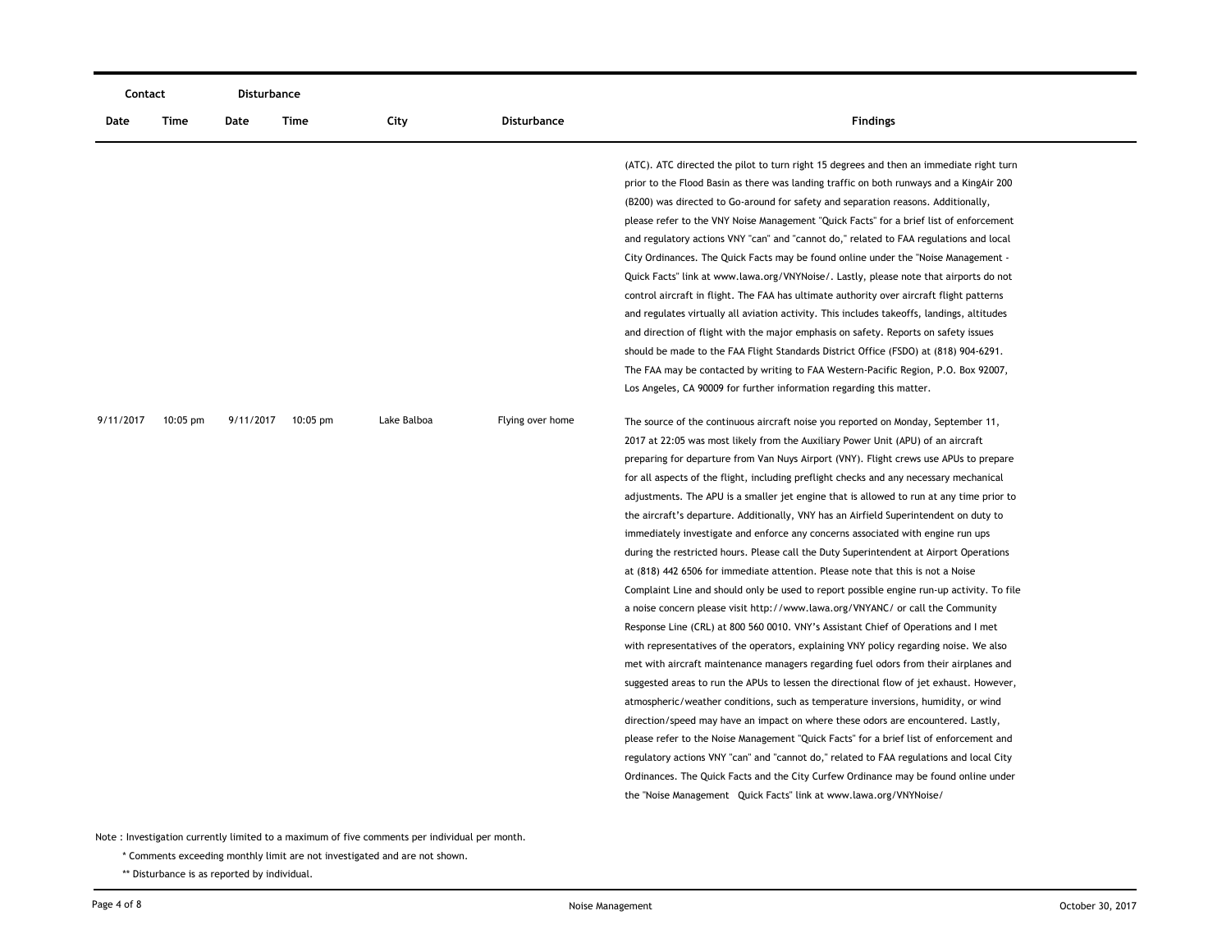| Contact   |            | <b>Disturbance</b> |             |             |                    |                                                                                                                                                                                                                                                                                                                                                                                                                                                                                                                                                                                                                                                                                                                                                                                                                                                                                                                                                                                                                                                                                                                                                                                                                                                                                                                                                                                                                                                                                                                                                                                                                                                                                                                                                                                                                                                                                          |
|-----------|------------|--------------------|-------------|-------------|--------------------|------------------------------------------------------------------------------------------------------------------------------------------------------------------------------------------------------------------------------------------------------------------------------------------------------------------------------------------------------------------------------------------------------------------------------------------------------------------------------------------------------------------------------------------------------------------------------------------------------------------------------------------------------------------------------------------------------------------------------------------------------------------------------------------------------------------------------------------------------------------------------------------------------------------------------------------------------------------------------------------------------------------------------------------------------------------------------------------------------------------------------------------------------------------------------------------------------------------------------------------------------------------------------------------------------------------------------------------------------------------------------------------------------------------------------------------------------------------------------------------------------------------------------------------------------------------------------------------------------------------------------------------------------------------------------------------------------------------------------------------------------------------------------------------------------------------------------------------------------------------------------------------|
| Date      | Time       | Date               | <b>Time</b> | City        | <b>Disturbance</b> | <b>Findings</b>                                                                                                                                                                                                                                                                                                                                                                                                                                                                                                                                                                                                                                                                                                                                                                                                                                                                                                                                                                                                                                                                                                                                                                                                                                                                                                                                                                                                                                                                                                                                                                                                                                                                                                                                                                                                                                                                          |
|           |            |                    |             |             |                    | (ATC). ATC directed the pilot to turn right 15 degrees and then an immediate right turn<br>prior to the Flood Basin as there was landing traffic on both runways and a KingAir 200<br>(B200) was directed to Go-around for safety and separation reasons. Additionally,<br>please refer to the VNY Noise Management "Quick Facts" for a brief list of enforcement<br>and regulatory actions VNY "can" and "cannot do," related to FAA regulations and local<br>City Ordinances. The Quick Facts may be found online under the "Noise Management -<br>Quick Facts" link at www.lawa.org/VNYNoise/. Lastly, please note that airports do not<br>control aircraft in flight. The FAA has ultimate authority over aircraft flight patterns<br>and regulates virtually all aviation activity. This includes takeoffs, landings, altitudes<br>and direction of flight with the major emphasis on safety. Reports on safety issues<br>should be made to the FAA Flight Standards District Office (FSDO) at (818) 904-6291.<br>The FAA may be contacted by writing to FAA Western-Pacific Region, P.O. Box 92007,<br>Los Angeles, CA 90009 for further information regarding this matter.                                                                                                                                                                                                                                                                                                                                                                                                                                                                                                                                                                                                                                                                                                        |
| 9/11/2017 | $10:05$ pm | 9/11/2017          | $10:05$ pm  | Lake Balboa | Flying over home   | The source of the continuous aircraft noise you reported on Monday, September 11,<br>2017 at 22:05 was most likely from the Auxiliary Power Unit (APU) of an aircraft<br>preparing for departure from Van Nuys Airport (VNY). Flight crews use APUs to prepare<br>for all aspects of the flight, including preflight checks and any necessary mechanical<br>adjustments. The APU is a smaller jet engine that is allowed to run at any time prior to<br>the aircraft's departure. Additionally, VNY has an Airfield Superintendent on duty to<br>immediately investigate and enforce any concerns associated with engine run ups<br>during the restricted hours. Please call the Duty Superintendent at Airport Operations<br>at (818) 442 6506 for immediate attention. Please note that this is not a Noise<br>Complaint Line and should only be used to report possible engine run-up activity. To file<br>a noise concern please visit http://www.lawa.org/VNYANC/ or call the Community<br>Response Line (CRL) at 800 560 0010. VNY's Assistant Chief of Operations and I met<br>with representatives of the operators, explaining VNY policy regarding noise. We also<br>met with aircraft maintenance managers regarding fuel odors from their airplanes and<br>suggested areas to run the APUs to lessen the directional flow of jet exhaust. However,<br>atmospheric/weather conditions, such as temperature inversions, humidity, or wind<br>direction/speed may have an impact on where these odors are encountered. Lastly,<br>please refer to the Noise Management "Quick Facts" for a brief list of enforcement and<br>regulatory actions VNY "can" and "cannot do," related to FAA regulations and local City<br>Ordinances. The Quick Facts and the City Curfew Ordinance may be found online under<br>the "Noise Management Quick Facts" link at www.lawa.org/VNYNoise/ |

\* Comments exceeding monthly limit are not investigated and are not shown.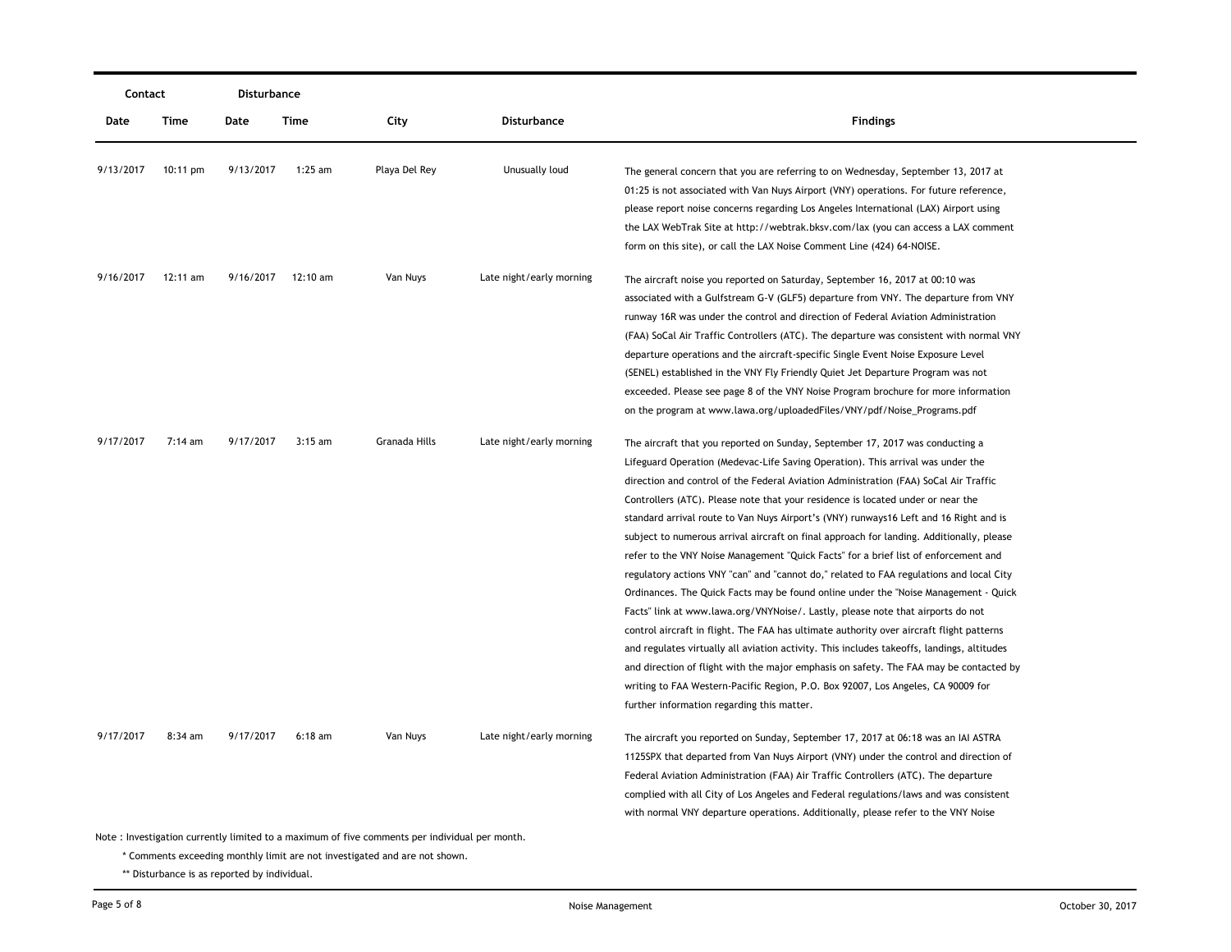| Contact   |                    | Disturbance |                    |                                                                                               |                          |                                                                                                                                                                                                                                                                                                                                                                                                                                                                                                                                                                                                                                                                                                                                                                                                                                                                                                                                                                                                                                                                                                                                                                                                                                                                                                                    |
|-----------|--------------------|-------------|--------------------|-----------------------------------------------------------------------------------------------|--------------------------|--------------------------------------------------------------------------------------------------------------------------------------------------------------------------------------------------------------------------------------------------------------------------------------------------------------------------------------------------------------------------------------------------------------------------------------------------------------------------------------------------------------------------------------------------------------------------------------------------------------------------------------------------------------------------------------------------------------------------------------------------------------------------------------------------------------------------------------------------------------------------------------------------------------------------------------------------------------------------------------------------------------------------------------------------------------------------------------------------------------------------------------------------------------------------------------------------------------------------------------------------------------------------------------------------------------------|
| Date      | Time               | Date        | Time               | City                                                                                          | <b>Disturbance</b>       | <b>Findings</b>                                                                                                                                                                                                                                                                                                                                                                                                                                                                                                                                                                                                                                                                                                                                                                                                                                                                                                                                                                                                                                                                                                                                                                                                                                                                                                    |
| 9/13/2017 | $10:11 \text{ pm}$ | 9/13/2017   | 1:25 am            | Playa Del Rey                                                                                 | Unusually loud           | The general concern that you are referring to on Wednesday, September 13, 2017 at<br>01:25 is not associated with Van Nuys Airport (VNY) operations. For future reference,<br>please report noise concerns regarding Los Angeles International (LAX) Airport using<br>the LAX WebTrak Site at http://webtrak.bksv.com/lax (you can access a LAX comment<br>form on this site), or call the LAX Noise Comment Line (424) 64-NOISE.                                                                                                                                                                                                                                                                                                                                                                                                                                                                                                                                                                                                                                                                                                                                                                                                                                                                                  |
| 9/16/2017 | 12:11 am           |             | 9/16/2017 12:10 am | Van Nuys                                                                                      | Late night/early morning | The aircraft noise you reported on Saturday, September 16, 2017 at 00:10 was<br>associated with a Gulfstream G-V (GLF5) departure from VNY. The departure from VNY<br>runway 16R was under the control and direction of Federal Aviation Administration<br>(FAA) SoCal Air Traffic Controllers (ATC). The departure was consistent with normal VNY<br>departure operations and the aircraft-specific Single Event Noise Exposure Level<br>(SENEL) established in the VNY Fly Friendly Quiet Jet Departure Program was not<br>exceeded. Please see page 8 of the VNY Noise Program brochure for more information<br>on the program at www.lawa.org/uploadedFiles/VNY/pdf/Noise_Programs.pdf                                                                                                                                                                                                                                                                                                                                                                                                                                                                                                                                                                                                                         |
| 9/17/2017 | 7:14 am            | 9/17/2017   | $3:15$ am          | Granada Hills                                                                                 | Late night/early morning | The aircraft that you reported on Sunday, September 17, 2017 was conducting a<br>Lifeguard Operation (Medevac-Life Saving Operation). This arrival was under the<br>direction and control of the Federal Aviation Administration (FAA) SoCal Air Traffic<br>Controllers (ATC). Please note that your residence is located under or near the<br>standard arrival route to Van Nuys Airport's (VNY) runways16 Left and 16 Right and is<br>subject to numerous arrival aircraft on final approach for landing. Additionally, please<br>refer to the VNY Noise Management "Quick Facts" for a brief list of enforcement and<br>regulatory actions VNY "can" and "cannot do," related to FAA regulations and local City<br>Ordinances. The Quick Facts may be found online under the "Noise Management - Quick<br>Facts" link at www.lawa.org/VNYNoise/. Lastly, please note that airports do not<br>control aircraft in flight. The FAA has ultimate authority over aircraft flight patterns<br>and regulates virtually all aviation activity. This includes takeoffs, landings, altitudes<br>and direction of flight with the major emphasis on safety. The FAA may be contacted by<br>writing to FAA Western-Pacific Region, P.O. Box 92007, Los Angeles, CA 90009 for<br>further information regarding this matter. |
| 9/17/2017 | $8:34$ am          | 9/17/2017   | $6:18$ am          | Van Nuys                                                                                      | Late night/early morning | The aircraft you reported on Sunday, September 17, 2017 at 06:18 was an IAI ASTRA<br>1125SPX that departed from Van Nuys Airport (VNY) under the control and direction of<br>Federal Aviation Administration (FAA) Air Traffic Controllers (ATC). The departure<br>complied with all City of Los Angeles and Federal regulations/laws and was consistent<br>with normal VNY departure operations. Additionally, please refer to the VNY Noise                                                                                                                                                                                                                                                                                                                                                                                                                                                                                                                                                                                                                                                                                                                                                                                                                                                                      |
|           |                    |             |                    | Note: Investigation currently limited to a maximum of five comments per individual per month. |                          |                                                                                                                                                                                                                                                                                                                                                                                                                                                                                                                                                                                                                                                                                                                                                                                                                                                                                                                                                                                                                                                                                                                                                                                                                                                                                                                    |

\* Comments exceeding monthly limit are not investigated and are not shown.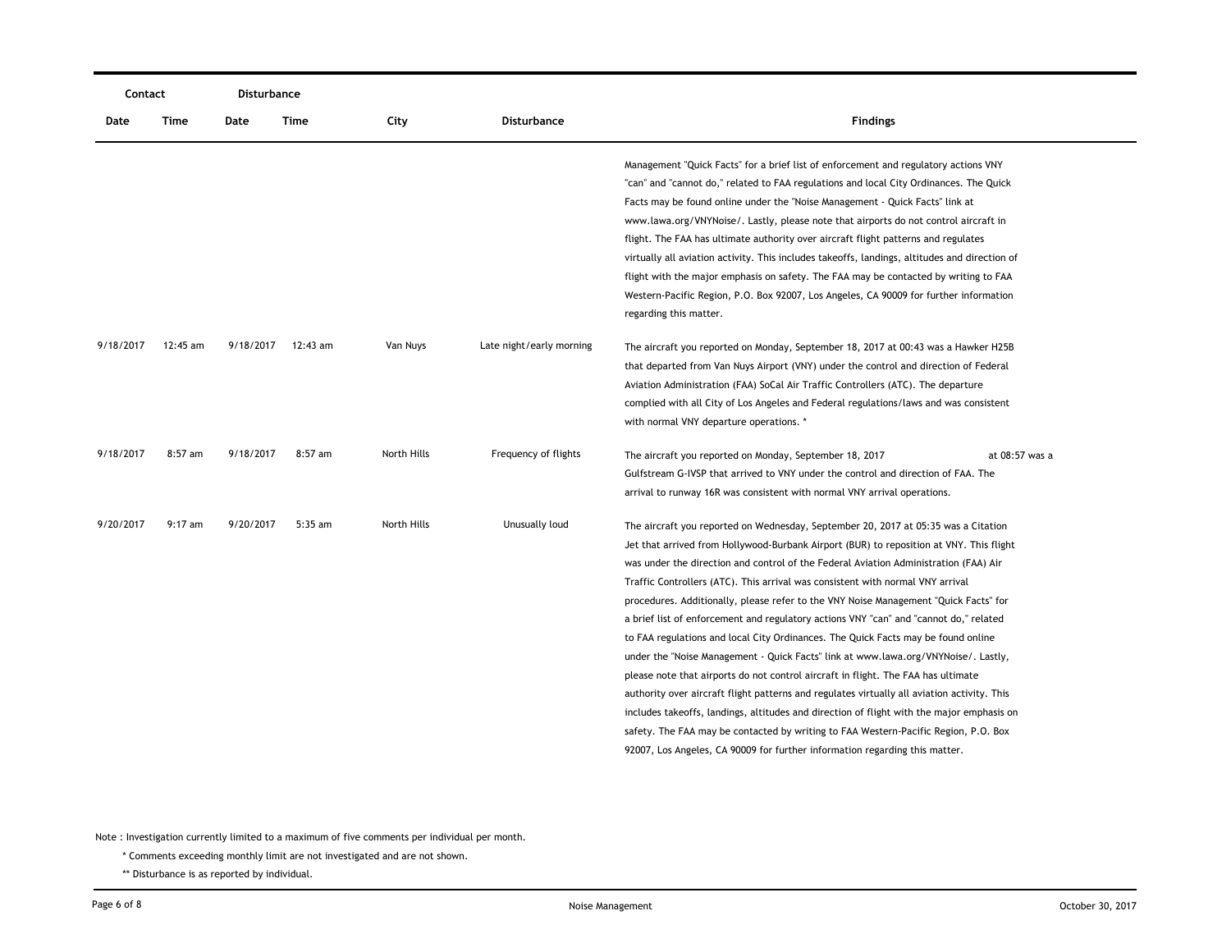| Contact   |           | Disturbance |           |             |                          |                                                                                                                                                                                                                                                                                                                                                                                                                                                                                                                                                                                                                                                                                                                                                                                                                                                                                                                                                                                                                                                                                                                                                                            |                |
|-----------|-----------|-------------|-----------|-------------|--------------------------|----------------------------------------------------------------------------------------------------------------------------------------------------------------------------------------------------------------------------------------------------------------------------------------------------------------------------------------------------------------------------------------------------------------------------------------------------------------------------------------------------------------------------------------------------------------------------------------------------------------------------------------------------------------------------------------------------------------------------------------------------------------------------------------------------------------------------------------------------------------------------------------------------------------------------------------------------------------------------------------------------------------------------------------------------------------------------------------------------------------------------------------------------------------------------|----------------|
| Date      | Time      | Date        | Time      | City        | Disturbance              | <b>Findings</b>                                                                                                                                                                                                                                                                                                                                                                                                                                                                                                                                                                                                                                                                                                                                                                                                                                                                                                                                                                                                                                                                                                                                                            |                |
|           |           |             |           |             |                          | Management "Quick Facts" for a brief list of enforcement and regulatory actions VNY<br>"can" and "cannot do," related to FAA regulations and local City Ordinances. The Quick<br>Facts may be found online under the "Noise Management - Quick Facts" link at<br>www.lawa.org/VNYNoise/. Lastly, please note that airports do not control aircraft in<br>flight. The FAA has ultimate authority over aircraft flight patterns and regulates<br>virtually all aviation activity. This includes takeoffs, landings, altitudes and direction of<br>flight with the major emphasis on safety. The FAA may be contacted by writing to FAA<br>Western-Pacific Region, P.O. Box 92007, Los Angeles, CA 90009 for further information<br>regarding this matter.                                                                                                                                                                                                                                                                                                                                                                                                                    |                |
| 9/18/2017 | 12:45 am  | 9/18/2017   | 12:43 am  | Van Nuys    | Late night/early morning | The aircraft you reported on Monday, September 18, 2017 at 00:43 was a Hawker H25B<br>that departed from Van Nuys Airport (VNY) under the control and direction of Federal<br>Aviation Administration (FAA) SoCal Air Traffic Controllers (ATC). The departure<br>complied with all City of Los Angeles and Federal regulations/laws and was consistent<br>with normal VNY departure operations. *                                                                                                                                                                                                                                                                                                                                                                                                                                                                                                                                                                                                                                                                                                                                                                         |                |
| 9/18/2017 | $8:57$ am | 9/18/2017   | $8:57$ am | North Hills | Frequency of flights     | The aircraft you reported on Monday, September 18, 2017<br>Gulfstream G-IVSP that arrived to VNY under the control and direction of FAA. The<br>arrival to runway 16R was consistent with normal VNY arrival operations.                                                                                                                                                                                                                                                                                                                                                                                                                                                                                                                                                                                                                                                                                                                                                                                                                                                                                                                                                   | at 08:57 was a |
| 9/20/2017 | $9:17$ am | 9/20/2017   | 5:35 am   | North Hills | Unusually loud           | The aircraft you reported on Wednesday, September 20, 2017 at 05:35 was a Citation<br>Jet that arrived from Hollywood-Burbank Airport (BUR) to reposition at VNY. This flight<br>was under the direction and control of the Federal Aviation Administration (FAA) Air<br>Traffic Controllers (ATC). This arrival was consistent with normal VNY arrival<br>procedures. Additionally, please refer to the VNY Noise Management "Quick Facts" for<br>a brief list of enforcement and regulatory actions VNY "can" and "cannot do," related<br>to FAA regulations and local City Ordinances. The Quick Facts may be found online<br>under the "Noise Management - Quick Facts" link at www.lawa.org/VNYNoise/. Lastly,<br>please note that airports do not control aircraft in flight. The FAA has ultimate<br>authority over aircraft flight patterns and regulates virtually all aviation activity. This<br>includes takeoffs, landings, altitudes and direction of flight with the major emphasis on<br>safety. The FAA may be contacted by writing to FAA Western-Pacific Region, P.O. Box<br>92007, Los Angeles, CA 90009 for further information regarding this matter. |                |

\* Comments exceeding monthly limit are not investigated and are not shown.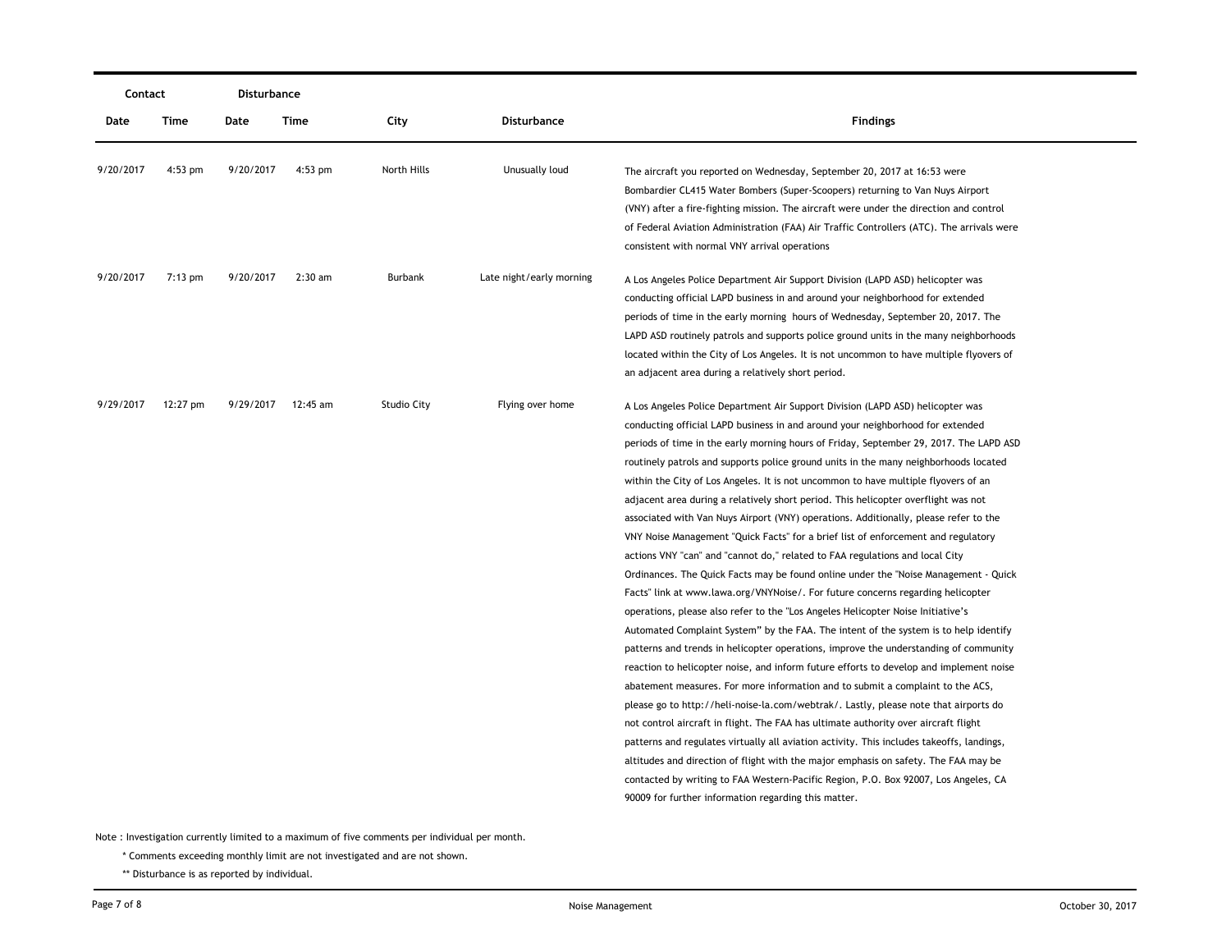| Contact   |           | <b>Disturbance</b> |                    |                    |                          |                                                                                                                                                                                                                                                                                                                                                                                                                                                                                                                                                                                                                                                                                                                                                                                                                                                                                                                                                                                                                                                                                                                                                                                                                                                                                                                                                                                                                                                                                                                                                                                                                                                                                                                                                                                                                                                                                                                                        |
|-----------|-----------|--------------------|--------------------|--------------------|--------------------------|----------------------------------------------------------------------------------------------------------------------------------------------------------------------------------------------------------------------------------------------------------------------------------------------------------------------------------------------------------------------------------------------------------------------------------------------------------------------------------------------------------------------------------------------------------------------------------------------------------------------------------------------------------------------------------------------------------------------------------------------------------------------------------------------------------------------------------------------------------------------------------------------------------------------------------------------------------------------------------------------------------------------------------------------------------------------------------------------------------------------------------------------------------------------------------------------------------------------------------------------------------------------------------------------------------------------------------------------------------------------------------------------------------------------------------------------------------------------------------------------------------------------------------------------------------------------------------------------------------------------------------------------------------------------------------------------------------------------------------------------------------------------------------------------------------------------------------------------------------------------------------------------------------------------------------------|
| Date      | Time      | Date               | Time               | City               | Disturbance              | <b>Findings</b>                                                                                                                                                                                                                                                                                                                                                                                                                                                                                                                                                                                                                                                                                                                                                                                                                                                                                                                                                                                                                                                                                                                                                                                                                                                                                                                                                                                                                                                                                                                                                                                                                                                                                                                                                                                                                                                                                                                        |
| 9/20/2017 | $4:53$ pm | 9/20/2017          | $4:53$ pm          | North Hills        | Unusually loud           | The aircraft you reported on Wednesday, September 20, 2017 at 16:53 were<br>Bombardier CL415 Water Bombers (Super-Scoopers) returning to Van Nuys Airport<br>(VNY) after a fire-fighting mission. The aircraft were under the direction and control<br>of Federal Aviation Administration (FAA) Air Traffic Controllers (ATC). The arrivals were<br>consistent with normal VNY arrival operations                                                                                                                                                                                                                                                                                                                                                                                                                                                                                                                                                                                                                                                                                                                                                                                                                                                                                                                                                                                                                                                                                                                                                                                                                                                                                                                                                                                                                                                                                                                                      |
| 9/20/2017 | $7:13$ pm | 9/20/2017          | $2:30$ am          | Burbank            | Late night/early morning | A Los Angeles Police Department Air Support Division (LAPD ASD) helicopter was<br>conducting official LAPD business in and around your neighborhood for extended<br>periods of time in the early morning hours of Wednesday, September 20, 2017. The<br>LAPD ASD routinely patrols and supports police ground units in the many neighborhoods<br>located within the City of Los Angeles. It is not uncommon to have multiple flyovers of<br>an adjacent area during a relatively short period.                                                                                                                                                                                                                                                                                                                                                                                                                                                                                                                                                                                                                                                                                                                                                                                                                                                                                                                                                                                                                                                                                                                                                                                                                                                                                                                                                                                                                                         |
| 9/29/2017 | 12:27 pm  |                    | 9/29/2017 12:45 am | <b>Studio City</b> | Flying over home         | A Los Angeles Police Department Air Support Division (LAPD ASD) helicopter was<br>conducting official LAPD business in and around your neighborhood for extended<br>periods of time in the early morning hours of Friday, September 29, 2017. The LAPD ASD<br>routinely patrols and supports police ground units in the many neighborhoods located<br>within the City of Los Angeles. It is not uncommon to have multiple flyovers of an<br>adjacent area during a relatively short period. This helicopter overflight was not<br>associated with Van Nuys Airport (VNY) operations. Additionally, please refer to the<br>VNY Noise Management "Quick Facts" for a brief list of enforcement and regulatory<br>actions VNY "can" and "cannot do," related to FAA regulations and local City<br>Ordinances. The Quick Facts may be found online under the "Noise Management - Quick<br>Facts" link at www.lawa.org/VNYNoise/. For future concerns regarding helicopter<br>operations, please also refer to the "Los Angeles Helicopter Noise Initiative's<br>Automated Complaint System" by the FAA. The intent of the system is to help identify<br>patterns and trends in helicopter operations, improve the understanding of community<br>reaction to helicopter noise, and inform future efforts to develop and implement noise<br>abatement measures. For more information and to submit a complaint to the ACS,<br>please go to http://heli-noise-la.com/webtrak/. Lastly, please note that airports do<br>not control aircraft in flight. The FAA has ultimate authority over aircraft flight<br>patterns and regulates virtually all aviation activity. This includes takeoffs, landings,<br>altitudes and direction of flight with the major emphasis on safety. The FAA may be<br>contacted by writing to FAA Western-Pacific Region, P.O. Box 92007, Los Angeles, CA<br>90009 for further information regarding this matter. |

\* Comments exceeding monthly limit are not investigated and are not shown.